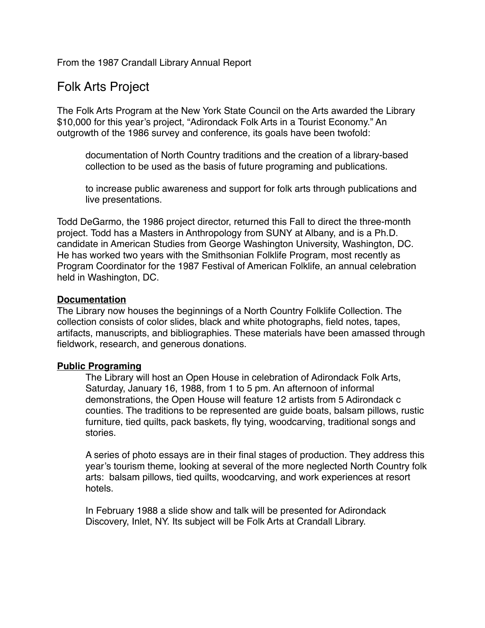From the 1987 Crandall Library Annual Report

# Folk Arts Project

The Folk Arts Program at the New York State Council on the Arts awarded the Library \$10,000 for this year's project, "Adirondack Folk Arts in a Tourist Economy." An outgrowth of the 1986 survey and conference, its goals have been twofold:

documentation of North Country traditions and the creation of a library-based collection to be used as the basis of future programing and publications.

to increase public awareness and support for folk arts through publications and live presentations.

Todd DeGarmo, the 1986 project director, returned this Fall to direct the three-month project. Todd has a Masters in Anthropology from SUNY at Albany, and is a Ph.D. candidate in American Studies from George Washington University, Washington, DC. He has worked two years with the Smithsonian Folklife Program, most recently as Program Coordinator for the 1987 Festival of American Folklife, an annual celebration held in Washington, DC.

## **Documentation**

The Library now houses the beginnings of a North Country Folklife Collection. The collection consists of color slides, black and white photographs, field notes, tapes, artifacts, manuscripts, and bibliographies. These materials have been amassed through fieldwork, research, and generous donations.

# **Public Programing**

The Library will host an Open House in celebration of Adirondack Folk Arts, Saturday, January 16, 1988, from 1 to 5 pm. An afternoon of informal demonstrations, the Open House will feature 12 artists from 5 Adirondack c counties. The traditions to be represented are guide boats, balsam pillows, rustic furniture, tied quilts, pack baskets, fly tying, woodcarving, traditional songs and stories.

A series of photo essays are in their final stages of production. They address this year's tourism theme, looking at several of the more neglected North Country folk arts: balsam pillows, tied quilts, woodcarving, and work experiences at resort hotels.

In February 1988 a slide show and talk will be presented for Adirondack Discovery, Inlet, NY. Its subject will be Folk Arts at Crandall Library.